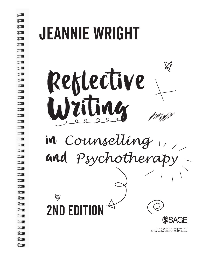# Reflective Writing in *Counselling*  and *Psychotherapy*  $\cancel{\heartsuit}$ 2ND EDITION

JEANNIE WRIGHT



Los Angeles | London | New Delhi<br>Singapore | Washington DC | Melbourne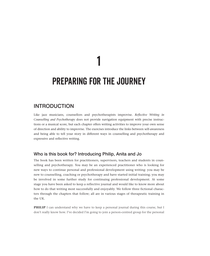# PREPARING FOR THE JOURNEY

1

# INTRODUCTION

Like jazz musicians, counsellors and psychotherapists improvise. *Reflective Writing in Counselling and Psychotherapy* does not provide navigation equipment with precise instructions or a musical score, but each chapter offers writing activities to improve your own sense of direction and ability to improvise. The exercises introduce the links between self-awareness and being able to tell your story in different ways in counselling and psychotherapy and expressive and reflective writing.

#### Who is this book for? Introducing Philip, Anita and Jo

The book has been written for practitioners, supervisors, teachers and students in counselling and psychotherapy. You may be an experienced practitioner who is looking for new ways to continue personal and professional development using writing: you may be new to counselling, coaching or psychotherapy and have started initial training; you may be involved in some further study for continuing professional development. At some stage you have been asked to keep a reflective journal and would like to know more about how to do that writing most successfully and enjoyably. We follow three fictional characters through the chapters that follow; all are in various stages of therapeutic training in the UK.

**PHILIP** I can understand why we have to keep a personal journal during this course, but I don't really know how. I've decided I'm going to join a person-centred group for the personal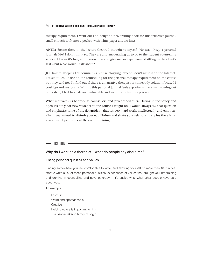#### Reflective Writing in Counselling and Psychotherapy  $\boxtimes$

therapy requirement. I went out and bought a new writing book for this reflective journal, small enough to fit into a pocket, with white paper and no lines.

**ANITA** Sitting there in the lecture theatre I thought to myself, 'No way'. Keep a personal journal? Me? I don't think so. They are also encouraging us to go to the student counselling service. I know it's free, and I know it would give me an experience of sitting in the client's seat – but what would I talk about?

**JO** Hmmm, keeping this journal is a bit like blogging, except I don't write it on the Internet. I asked if I could use online counselling for the personal therapy requirement on the course but they said no. I'll find out if there is a narrative therapist or somebody solution focused I could go and see locally. Writing this personal journal feels exposing – like a snail coming out of its shell, I feel too pale and vulnerable and want to protect my privacy.

What motivates us to work as counsellors and psychotherapists? During introductory and open evenings for new students at one course I taught on, I would always ask that question and emphasise some of the downsides – that it's very hard work, intellectually and emotionally, is guaranteed to disturb your equilibrium and shake your relationships, plus there is no guarantee of paid work at the end of training.

 $TRYTHIS$ 

#### Why do I work as a therapist – what do people say about me?

#### Listing personal qualities and values

Finding somewhere you feel comfortable to write, and allowing yourself no more than 10 minutes, start to write a list of those personal qualities, experiences or values that brought you into training and working in counselling and psychotherapy. If it's easier, write what other people have said about you.

An example:

Peter is: Warm and approachable **Creative** Helping others is important to him The peacemaker in family of origin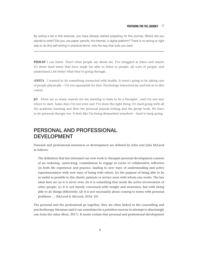By writing a list in this exercise, you have already started preparing for this journey. Where did you decide to write? Did you use paper, pencils, the Internet, a digital platform? There is no wrong or right way to do this self-writing in practical terms, only the way that suits you best.

**PHILIP** I can listen. That's what people say about me. I've struggled at times and maybe it's those hard times that have made me able to listen to people, all sorts of people, and understand a bit better what they're going through.

**ANITA** I wanted to do something connected with health. It wasn't going to be taking care of people physically – I'm too squeamish for that. Psychology interested me and led on to this course.

**JO** There are so many reasons for me wanting to train to be a therapist , and I'm not sure where to start. Some days I'm not even sure I've done the right thing. It's hard going with all the academic learning and then the personal journal writing and the group work. We have to do personal therapy too. It feels like I'm being dismantled somehow – hard to keep going.

# PERSONAL AND PROFESSIONAL DEVELOPMENT

Personal and professional awareness or development are defined by John and Julia McLeod as follows:

The definition that has informed our own work is: therapist personal development consists of an enduring, career-long, commitment to engage in cycles of collaborative reflection on both life experience and practice, leading to new ways of understanding and active experimentation with new ways of being with others, for the purpose of being able to be as useful as possible to the clients, patients or service users with whom one works. The key ideas here are (a) it is never over; (b) it is something that needs the active involvement of other people; (c) it is not merely concerned with insight and awareness, but with being able to do things differently; (d) it is not necessarily about coming to terms with personal problems … (McLeod & McLeod, 2014: 10)

The personal and the professional go together; they are often linked in the counselling and psychotherapy literature and it can sometimes be a pointless exercise to attempt to disentangle one from the other (Rose, 2017). It seems certain that personal and professional development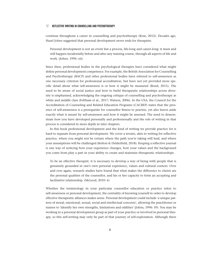#### $\heartsuit$ Reflective Writing in Counselling and Psychotherapy

continue throughout a career in counselling and psychotherapy (Rose, 2012). Decades ago, Hazel Johns suggested that personal development never ends for therapists:

Personal development is not an event but a process, life-long and career-long: it must and will happen incidentally before and after any training course, through all aspects of life and work. (Johns, 1996: xii)

Since then, professional bodies in the psychological therapies have considered what might define personal development competence. For example, the British Association for Counselling and Psychotherapy (BACP) and other professional bodies have referred to self-awareness as one necessary criterion for professional accreditation, but have not yet provided more specific detail about what self-awareness is or how it might be measured (Bond, 2015). The need to be aware of social justice and how to build therapeutic relationships across diversity is emphasised, acknowledging the ongoing critique of counselling and psychotherapy as white and middle class (Feltham et al., 2017; Watson, 2006). In the USA, the Council for the Accreditation of Counseling and Related Education Programs (CACREP) states that the presence of self-awareness is a prerequisite for counsellor fitness to practise, yet also leaves aside exactly what is meant by self-awareness and how it might be assessed. The need to demonstrate how you have developed personally and professionally and the role of writing in that process is considered in more depth in later chapters.

In this book professional development and the kind of writing we provide practice for is hard to separate from personal development. We cover a terrain, akin to writing for reflective practice, where you might not be certain where the path you're taking will lead, and where your assumptions will be challenged (Bolton & Delderfield, 2018). Keeping a reflective journal is one way of noticing how your experience changes, how your values and the background you come from play a part in your ability to create and maintain therapeutic relationships:

To be an effective therapist, it is necessary to develop a way of being with people that is genuinely grounded in one's own personal experience, values and cultural context. Over and over again, research studies have found that what makes the difference to clients are the personal qualities of the counsellor, and his or her capacity to form an accepting and facilitative relationship. (McLeod, 2010: 6)

Whether the terminology in your particular counsellor education or practice refers to self-awareness or personal development, the centrality of knowing yourself in order to develop effective therapeutic alliances makes sense. Personal development could include 'a unique pattern of moral, emotional, sexual, social and intellectual concerns', allowing the practitioner or trainee to 'identify her own strengths, limitations and oddities' (Johns, 1996: 59). You may be working in a personal development group as part of your practice or involved in personal therapy, so this self-writing may only be part of that journey of self-exploration. Although there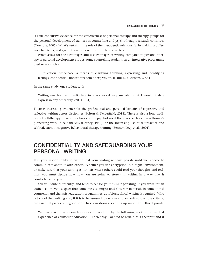is little conclusive evidence for the effectiveness of personal therapy and therapy groups for the personal development of trainees in counselling and psychotherapy, research continues (Norcross, 2005). What's certain is the role of the therapeutic relationship in making a difference to clients, and again, there is more on this in later chapters.

When asked for the advantages and disadvantages of writing compared to personal therapy or personal development groups, some counselling students on an integrative programme used words such as:

… reflection, time/space, a means of clarifying thinking, expressing and identifying feelings, confidential, honest, freedom of expression. (Daniels & Feltham, 2004)

In the same study, one student said:

Writing enables me to articulate in a non-vocal way material what I wouldn't dare express in any other way. (2004: 184)

There is increasing evidence for the professional and personal benefits of expressive and reflective writing across disciplines (Bolton & Delderfield, 2018). There is also a long tradition of self-therapy in various schools of the psychological therapies, such as Karen Horney's pioneering work in self-analysis (Horney, 1942), or the increasing use of self-practice and self-reflection in cognitive behavioural therapy training (Bennett-Levy et al., 2001).

# CONFIDENTIALITY, AND SAFEGUARDING YOUR PERSONAL WRITING

It is your responsibility to ensure that your writing remains private until you choose to communicate about it with others. Whether you use encryption in a digital environment, or make sure that your writing is not left where others could read your thoughts and feelings, you must decide now how you are going to store this writing in a way that is comfortable for you.

You will write differently, and tend to censor your thinking/writing, if you write for an audience, or even suspect that someone else might read this raw material. In some initial counsellor and therapist education programmes, autobiographical writing is required. Who is to read that writing and, if it is to be assessed, by whom and according to whose criteria, are essential pieces of negotiation. These questions also bring up important ethical points:

We were asked to write our life story and hand it in by the following week. It was my first experience of counsellor education. I knew why I wanted to retrain as a therapist and it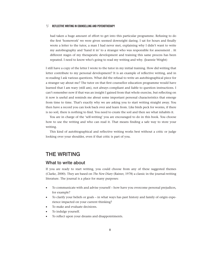#### $\boxtimes$ Reflective Writing in Counselling and Psychotherapy

had taken a huge amount of effort to get into this particular programme. Refusing to do the first 'homework' we were given seemed downright daring. I sat for hours and finally wrote a letter to the tutor, a man I had never met, explaining why I didn't want to write my autobiography and 'hand it in' to a stranger who was responsible for assessment . At different stages of my therapeutic development and training this same process has been repeated. I need to know who's going to read my writing and why. (Jeannie Wright)

I still have a copy of the letter I wrote to the tutor in my initial training. How did writing that letter contribute to my personal development? It is an example of reflective writing, and in re-reading I ask various questions. What did the refusal to write an autobiographical piece for a stranger say about me? The tutor on that first counsellor education programme would have learned that I am wary (still am), not always compliant and liable to question instructions. I can't remember now if that was an insight I gained from that whole exercise, but reflecting on it now is useful and reminds me about some important personal characteristics that emerge from time to time. That's exactly why we are asking you to start writing straight away. You then have a record you can look back over and learn from. Like birds peck for worms, if there is no soil, there is nothing to find. You need to create the soil and then see what inhabits it.

You are in charge of the 'self-writing' you are encouraged to do in this book. You choose how to use the writing and who can read it. That means finding a safe way to store your writing.

This kind of autobiographical and reflective writing works best without a critic or judge looking over your shoulder, even if that critic is part of you.

### THE WRITING

#### What to write about

If you are ready to start writing, you could choose from any of these suggested themes (Clarke, 2000). They are based on *The New Diary* (Rainer, 1978) a classic in the journal-writing literature. The journal is a place for many purposes:

- To communicate with and advise yourself how have you overcome personal prejudices, for example?
- To clarify your beliefs or goals in what ways has past history and family of origin experience impacted on your current thinking?
- To make and evaluate decisions.
- To indulge vourself.
- To reflect upon your dreams and disappointments.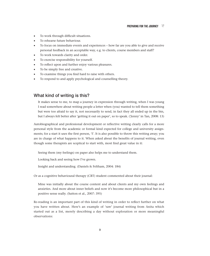- To work through difficult situations.
- To rehearse future behaviour.
- To focus on immediate events and experiences how far are you able to give and receive personal feedback in an acceptable way, e.g. to clients, course members and staff?
- To work towards clarity and order.
- To exercise responsibility for yourself.
- To reflect upon and further enjoy various pleasures.
- To be simply free and creative.
- To examine things you find hard to raise with others.
- To respond to and apply psychological and counselling theory.

#### What kind of writing is this?

It makes sense to me, to map a journey in expression through writing, when I was young I read somewhere about writing people a letter when (you) wanted to tell them something but were too afraid to say it, not necessarily to send, in fact they all ended up in the bin, but I always felt better after 'getting it out on paper', so to speak. ('Jenny' in Tan, 2008: 13)

Autobiographical and professional development or reflective writing clearly calls for a more personal style from the academic or formal kind expected for college and university assignments; for a start it uses the first person, 'I'. It is also possible to throw this writing away; you are in charge of what happens to it. When asked about the benefits of journal writing, even though some therapists are sceptical to start with, most find great value in it:

Seeing them (my feelings) on paper also helps me to understand them.

Looking back and seeing how I've grown.

Insight and understanding. (Daniels & Feltham, 2004: 184)

Or as a cognitive behavioural therapy (CBT) student commented about their journal:

Mine was initially about the course content and about clients and my own feelings and anxieties. And more about inner beliefs and now it's become more philosophical but in a positive sense really. (Sutton et al., 2007: 395)

Re-reading is an important part of this kind of writing in order to reflect further on what you have written about. Here's an example of 'raw' journal writing from Anita which started out as a list, merely describing a day without exploration or more meaningful observations: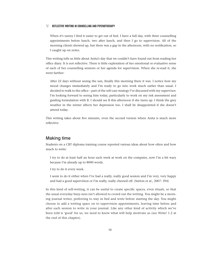#### $\boxtimes$ Reflective Writing in Counselling and Psychotherapy

When it's sunny I find it easier to get out of bed. I have a full day, with three counselling appointments before lunch, two after lunch, and then I go to supervision. All of the morning clients showed up, but there was a gap in the afternoon, with no notification, so I caught up on notes.

This writing tells us little about Anita's day that we couldn't have found out from reading her office diary. It is not reflective. There is little exploration of her emotional or evaluative sense of each of her counselling sessions or her agenda for supervision. When she re-read it, she went further:

After 22 days without seeing the sun, finally this morning there it was. I notice how my mood changes immediately and I'm ready to go into work much earlier than usual. I decided to walk to the office – part of the self-care strategy I've discussed with my supervisor. I'm looking forward to seeing him today, particularly to work on my risk assessment and guiding formulation with B. I should see B this afternoon if she turns up. I think the grey weather in the winter affects her depression too. I shall be disappointed if she doesn't attend today.

This writing takes about five minutes, even the second version where Anita is much more reflective.

#### Making time

Students on a CBT diploma training course reported various ideas about how often and how much to write:

I try to do at least half an hour each week at work on the computer, now I'm a bit wary because I'm already up to 8000 words.

I try to do it every week.

I seem to do it either when I've had a really, really good session and I'm very, very happy and had a good supervision or I'm really, really cheesed off. (Sutton et al., 2007: 394)

In this kind of self-writing, it can be useful to create specific spaces, even rituals, so that the usual everyday busy-ness isn't allowed to crowd out the writing. You might be a morning journal writer, preferring to stay in bed and write before starting the day. You might choose to add a writing space on to supervision appointments, leaving time before and after each session to write in your journal. Like any other kind of activity which we've been told is 'good' for us, we need to know what will help motivate us (see Write! 1.2 at the end of this chapter).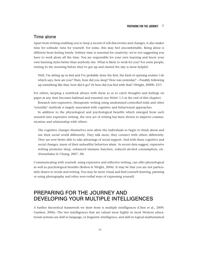#### PRFPARING FOR THE JOURNEY  $\mathbb{V}$

#### Time alone

Apart from writing enabling you to keep a record of self-discoveries and changes, it also makes time for solitude: time for yourself. For some, this may feel uncomfortable. Being alone is different from feeling lonely. Solitary time is essential for creativity; we're not suggesting you have to work alone all the time. You are responsible for your own learning and know your own learning styles better than anybody else. What is likely to work for you? For some people, writing in the morning before they've got up and started the day is most helpful:

Well, I'm sitting up in bed and I've probably done the first, the kind of opening routine I do which says, how are you? Then, how did you sleep? How was yesterday? – Possibly following up something like that, how did it go? Or how did you feel with that? (Wright, 2009b: 237)

For others, keeping a notebook always with them so as to catch thoughts and feelings on paper at any time becomes habitual and essential (see Write! 1.3 at the end of this chapter).

Research into expressive, therapeutic writing using randomised controlled trials and other 'scientific' methods is largely associated with cognitive and behavioural approaches.

In addition to the physiological and psychological benefits which emerged from such research into expressive writing, the very act of writing has been shown to improve communication and relationship with others:

The cognitive changes themselves now allow the individuals to begin to think about and use their social world differently. They talk more; they connect with others differently. They are now better able to take advantage of social support. And with these cognitive and social changes, many of their unhealthy behaviors abate. As recent data suggest, expressive writing promotes sleep, enhanced immune function, reduced alcohol consumption, etc. (Pennebaker & Chung, 2007: 38)

Communicating with yourself, using expressive and reflective writing, can offer physiological as well as psychological benefits (Bolton & Wright, 2004). It may be that you are not particularly drawn to words and writing. You may be more visual and find yourself drawing, painting or using photography and other non-verbal ways of expressing yourself.

# PREPARING FOR THE JOURNEY AND DEVELOPING YOUR MULTIPLE INTELLIGENCES

A further theoretical framework we draw from is multiple intelligences (Chen et al., 2009; Gardner, 2006). The two intelligences that are valued most highly in most Western educational systems are skill in language, or linguistic intelligence, and skill in logical-mathematical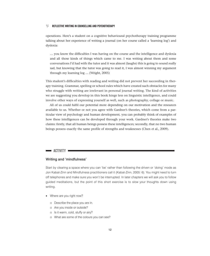#### $\otimes$ Reflective Writing in Counselling and Psychotherapy

operations. Here's a student on a cognitive behavioural psychotherapy training programme talking about her experience of writing a journal (on her course called a 'learning log') and dyslexia:

… you know the difficulties I was having on the course and the intelligence and dyslexia and all those kinds of things which came to me. I was writing about them and some conversations I'd had with the tutor and it was almost (laughs) this is going to sound really sad, but knowing that the tutor was going to read it, I was almost winning my argument through my learning log … (Wright, 2005)

This student's difficulties with reading and writing did not prevent her succeeding in therapy training. Grammar, spelling or school rules which have created such obstacles for many who struggle with writing are irrelevant in personal journal writing. The kind of activities we are suggesting you develop in this book hinge less on linguistic intelligence, and could involve other ways of expressing yourself as well, such as photography, collage or music.

All of us could fulfil our potential more depending on our motivation and the resources available to us. Whether or not you agree with Gardner's theories, which come from a particular view of psychology and human development, you can probably think of examples of how these intelligences can be developed through your work. Gardner's theories make two claims: firstly, that all human beings possess these intelligences; secondly, that no two human beings possess exactly the same profile of strengths and weaknesses (Chen et al., 2009).

#### **No. 4CTIVITY**

#### Writing and 'mindfulness'

Start by clearing a space where you can 'be' rather than following the driven or 'doing' mode as Jon Kabat-Zinn and Mindfulness practitioners call it (Kabat-Zinn, 2005: 6). You might need to turn off telephones and make sure you won't be interrupted. In later chapters we will ask you to follow guided meditations, but the point of this short exercise is to slow your thoughts down using writing.

- Where are you right now?
	- � Describe the place you are in.
	- � Are you inside or outside?
	- � Is it warm, cold, stuffy or airy?
	- � What are some of the colours you can see?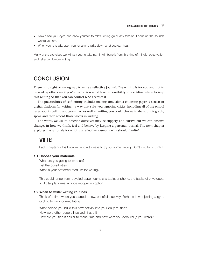- Now close your eyes and allow yourself to relax, letting go of any tension. Focus on the sounds where you are.
- When you're ready, open your eyes and write down what you can hear.

Many of the exercises we will ask you to take part in will benefit from this kind of mindful observation and reflection before writing.

## **CONCLUSION**

There is no right or wrong way to write a reflective journal. The writing is for you and not to be read by others until you're ready. You must take responsibility for deciding where to keep this writing so that you can control who accesses it.

The practicalities of self-writing include: making time alone; choosing paper, a screen or digital platform for writing – a way that suits you; ignoring critics; including all of the school rules about spelling and grammar. As well as writing you could choose to draw, photograph, speak and then record those words in writing.

The words we use to describe ourselves may be slippery and elusive but we can observe changes in how we think, feel and behave by keeping a personal journal. The next chapter explores the rationale for writing a reflective journal – why should I write?

### **WRITF!**

Each chapter in this book will end with ways to try out some writing. Don't just think it, ink it.

#### **1.1 Choose your materials**

What are you going to write on? List the possibilities. What is your preferred medium for writing?

This could range from recycled paper journals, a tablet or phone, the backs of envelopes, to digital platforms, a voice recognition option.

#### **1.2 When to write: writing routines**

Think of a time when you started a new, beneficial activity. Perhaps it was joining a gym, cycling to work or meditating.

What helped you build this new activity into your daily routine? How were other people involved, if at all? How did you find it easier to make time and how were you derailed (if you were)?